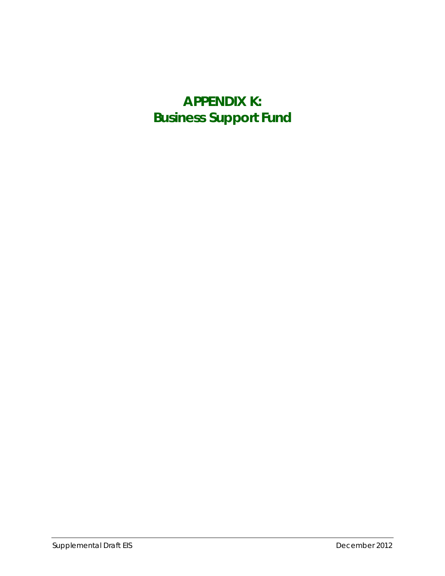## **APPENDIX K: Business Support Fund**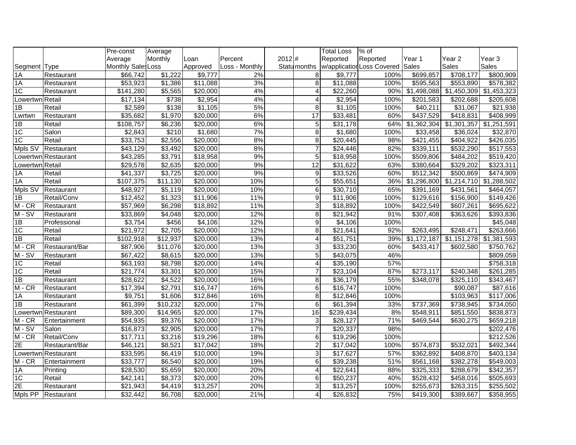|                 |                     | Pre-const            | Average         |                      |                |       |                         | <b>Total Loss</b>    | % of                             |                       |                          |                       |
|-----------------|---------------------|----------------------|-----------------|----------------------|----------------|-------|-------------------------|----------------------|----------------------------------|-----------------------|--------------------------|-----------------------|
|                 |                     | Average              | Monthly         | Loan                 | Percent        | 2012# |                         | Reported             | Reported                         | Year 1                | Year 2                   | Year 3                |
| Segment Type    |                     | Monthly Sales Loss   |                 | Approved             | Loss - Monthly |       | Statu <sub>months</sub> |                      | w/application Loss Covered Sales |                       | Sales                    | Sales                 |
| $\overline{1A}$ | Restaurant          | \$66,742             | \$1,222         | \$9,777              | 2%             |       | 8 <sup>1</sup>          | \$9,777              | 100%                             | \$699,857             | \$708,177                | \$800,909             |
| $\overline{1A}$ | Restaurant          | \$53,923             | $\sqrt{$1,386}$ | \$11,088             | 3%             |       | $\infty$                | \$11,088             | 100%                             | \$595,563             | \$553,890                | \$578,382             |
| $\overline{1C}$ | Restaurant          | \$141,280            | \$5,565         | \$20,000             | 4%             |       | 4                       | \$22,260             | 90%                              | \$1,498,088           | \$1,450,309              | \$1,453,323           |
| Lowertwn Retail |                     | \$17,134             | \$738           | \$2,954              | 4%             |       | $\overline{4}$          | \$2,954              | 100%                             | \$201,583             | \$202,688                | \$205,608             |
| $\overline{AB}$ | Retail              | \$2,589              | \$138           | \$1,105              | 5%             |       | 8                       | \$1,105              | 100%                             | \$40,211              | \$31,067                 | \$21,938              |
| Lwrtwn          | Restaurant          | \$35,682             | \$1,970         | \$20,000             | 6%             |       | $\overline{17}$         | \$33,481             | 60%                              | \$437,529             | \$418,831                | \$408,999             |
| 1B              | Retail              | \$108,757            | \$6,236         | \$20,000             | 6%             |       | 5 <sup>1</sup>          | \$31,178             | 64%                              | \$1,362,304           | \$1,301,357              | \$1,251,591           |
| 1C              | Salon               | \$2,843              | \$210           | \$1,680              | 7%             |       | $\infty$                | $\sqrt{$1,680}$      | 100%                             | \$33,458              | \$36,024                 | \$32,870              |
| $\overline{1C}$ | Retail              | \$33,753             | \$2,556         | \$20,000             | 8%             |       | $\overline{8}$          | \$20,445             | 98%                              | \$421,455             | \$404,922                | \$426,035             |
| Mpls SV         | Restaurant          | \$43,129             | \$3,492         | \$20,000             | 8%             |       | $\overline{7}$          | $\sqrt{$24,446}$     | 82%                              | \$339,111             | \$532,290                | \$517,553             |
|                 | Lowertwn Restaurant | \$43,285             | \$3,791         | \$18,958             | 9%             |       | $\overline{5}$          | \$18,958             | 100%                             | \$509,806             | \$484,202                | \$519,420             |
| Lowertwn Retail |                     | \$29,578             | \$2,635         | \$20,000             | 9%             |       | 12                      | 331,622              | 63%                              | \$380,664             | \$329,202                | \$323,311             |
| 1A              | Retail              | \$41,337             | $\sqrt{3,725}$  | \$20,000             | 9%             |       | 9                       | \$33,526             | 60%                              | \$512,342             | \$500,869                | \$474,909             |
| $\overline{1A}$ | Retail              | \$107,375            | \$11,130        | \$20,000             | 10%            |       | $\overline{5}$          | \$55,651             | 36%                              | \$1,296,800           | \$1,214,710              | \$1,288,502           |
| Mpls SV         | Restaurant          | \$48,927             | \$5,119         | \$20,000             | 10%            |       | 6 <sup>1</sup>          | \$30,710             | 65%                              | \$391,169             | \$431,561                | \$464,057             |
| $\overline{1B}$ | Retail/Conv         | \$12,452             | \$1,323         | \$11,906             | 11%            |       | $\overline{9}$          | $\overline{$11,906}$ | 100%                             | \$129,616             | $\overline{$}156,900$    | \$149,426             |
| $M - CR$        | Restaurant          | \$57,969             | \$6,298         | \$18,892             | 11%            |       | 3 <sup>1</sup>          | \$18,892             | 100%                             | \$422,549             | $\overline{$607,261}$    | \$695,622             |
| $M - SV$        | Restaurant          | \$33,869             | \$4,048         | \$20,000             | 12%            |       | 8 <sup>1</sup>          | \$21,942             | 91%                              | \$307,408             | \$363,626                | \$393,836             |
| 1B              | Professional        | \$3,754              | \$456           | \$4,106              | 12%            |       | $\overline{9}$          | \$4,106              | 100%                             |                       |                          | \$45,048              |
| 1C              | Retail              | $\overline{$21,972}$ | \$2,705         | \$20,000             | 12%            |       | 8 <sup>1</sup>          | \$21,641             | 92%                              | \$263,495             | \$248,471                | $\overline{$}263,666$ |
| 1B              | Retail              | \$102,918            | \$12,937        | \$20,000             | 13%            |       | 4                       | \$51,751             | 39%                              | \$1,172,187           | $\overline{\$1,151,278}$ | \$1,381,593           |
| $M - CR$        | Restaurant/Bar      | \$87,906             | \$11,076        | \$20,000             | 13%            |       | 3 <sup>1</sup>          | 33,230               | 60%                              | $\overline{$433,417}$ | \$602,580                | \$750,762             |
| $M-SV$          | Restaurant          | \$67,422             | \$8,615         | \$20,000             | 13%            |       | 5 <sub>5</sub>          | \$43,075             | 46%                              |                       |                          | \$809,059             |
| $\overline{1C}$ | Retail              | \$63,193             | \$8,798         | \$20,000             | 14%            |       | $\overline{4}$          | \$35,190             | 57%                              |                       |                          | \$758,318             |
| $\overline{1C}$ | Retail              | \$21,774             | \$3,301         | \$20,000             | 15%            |       | $\overline{7}$          | $\overline{$23,104}$ | 87%                              | \$273,117             | \$240,348                | \$261,285             |
| 1B              | Restaurant          | \$28,622             | \$4,522         | \$20,000             | 16%            |       | $\overline{8}$          | \$36,179             | 55%                              | \$348,078             | \$325,110                | \$343,467             |
| $M - CR$        | Restaurant          | \$17,394             | $\sqrt{2,791}$  | \$16,747             | 16%            |       | $6 \mid$                | \$16,747             | 100%                             |                       | \$90,087                 | \$87,616              |
| 1A              | Restaurant          | \$9,751              | \$1,606         | \$12,846             | 16%            |       | $\infty$                | \$12,846             | 100%                             |                       | \$103,963                | \$117,006             |
| $\overline{AB}$ | Restaurant          | \$61,399             | \$10,232        | \$20,000             | 17%            |       | 6 <sup>1</sup>          | \$61,394             | 33%                              | \$737,369             | \$738,945                | \$734,050             |
|                 | Lowertwn Restaurant | \$89,300             | \$14,965        | \$20,000             | 17%            |       | 16                      | \$239,434            | 8%                               | $\overline{$}548,911$ | \$851,550                | \$838,873             |
| $M - CR$        | Entertainment       | \$54,935             | \$9,376         | \$20,000             | 17%            |       | 3                       | \$28,127             | 71%                              | \$469,544             | \$630,275                | \$659,218             |
| $M-SV$          | Salon               | \$16,873             | \$2,905         | \$20,000             | 17%            |       | $\overline{7}$          | \$20,337             | 98%                              |                       |                          | \$202,476             |
| $M - CR$        | Retail/Conv         | \$17,711             | \$3,216         | \$19,296             | 18%            |       | 6 <sup>1</sup>          | \$19,296             | 100%                             |                       |                          | \$212,526             |
| $\overline{2E}$ | Restaurant/Bar      | $\overline{$46,121}$ | \$8,521         | $\overline{$17,042}$ | 18%            |       | $\overline{2}$          | \$17,042             | 100%                             | \$574,873             | 3532,021                 | \$492,344             |
|                 | Lowertwn Restaurant | \$33,595             | \$6,419         | \$10,000             | 19%            |       | $\overline{3}$          | \$17,627             | 57%                              | \$362,892             | \$408,870                | \$403,134             |
| $M - CR$        | Entertainment       | \$33,777             | \$6,540         | \$20,000             | 19%            |       | $\overline{6}$          | \$39,238             | 51%                              | \$561,168             | \$382,278                | \$549,003             |
| 1A              | Printing            | \$28,530             | \$5,659         | \$20,000             | 20%            |       | $\overline{4}$          | \$22,641             | 88%                              | \$325,333             | \$288,679                | \$342,357             |
| $\overline{1C}$ | Retail              | \$42,141             | \$8,373         | \$20,000             | 20%            |       | 6 <sup>1</sup>          | \$50,237             | 40%                              | \$528,432             | \$458,016                | \$505,693             |
| $\overline{2E}$ | Restaurant          | \$21,943             | \$4,419         | \$13,257             | 20%            |       | $\overline{3}$          | \$13,257             | 100%                             | \$255,673             | \$263,315                | \$255,502             |
| Mpls PP         | Restaurant          | \$32,442             | \$6,708         | $\sqrt{$20,000}$     | 21%            |       | 4                       | \$26,832             | 75%                              | \$419,300             | \$389,667                | \$358,955             |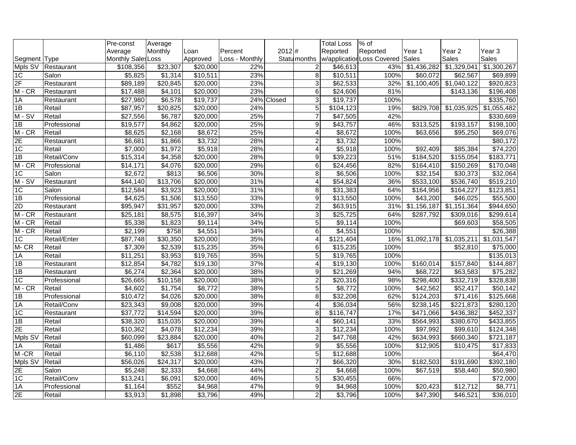|                  |              | Pre-const            | Average  |          |                |            |                         | <b>Total Loss</b>    | $%$ of                           |                         |                       |                      |
|------------------|--------------|----------------------|----------|----------|----------------|------------|-------------------------|----------------------|----------------------------------|-------------------------|-----------------------|----------------------|
|                  |              | Average              | Monthly  | Loan     | Percent        | 2012#      |                         | Reported             | Reported                         | Year 1                  | Year <sub>2</sub>     | Year 3               |
| Segment Type     |              | Monthly Sales Loss   |          | Approved | Loss - Monthly |            | Statu <sub>months</sub> |                      | w/application Loss Covered Sales |                         | Sales                 | Sales                |
| Mpls SV          | Restaurant   | \$108,356            | \$23,307 | \$20,000 | 22%            |            | $\overline{2}$          | $\overline{$46,613}$ | 43%                              | \$1,436,282             | \$1,329,041           | \$1,300,267          |
| $\overline{1C}$  | Salon        | \$5,825              | \$1,314  | \$10,511 | 23%            |            | 8                       | \$10,511             | 100%                             | \$60,072                | \$62,567              | \$69,899             |
| 2F               | Restaurant   | \$89,189             | \$20,845 | \$20,000 | 23%            |            | ω                       | \$62,533             | 32%                              | $\overline{$1,100,405}$ | $\sqrt{$1,040,122}$   | \$920,823            |
| $M - CR$         | Restaurant   | \$17,488             | \$4,101  | \$20,000 | 23%            |            | 6                       | \$24,606             | 81%                              |                         | \$143,136             | \$196,408            |
| 1A               | Restaurant   | \$27,980             | \$6,578  | \$19,737 |                | 24% Closed | 3                       | \$19,737             | 100%                             |                         |                       | \$335,760            |
| 1B               | Retail       | \$87,957             | \$20,825 | \$20,000 | 24%            |            | 5                       | \$104,123            | 19%                              | \$829,708               | \$1,035,925           | \$1,055,482          |
| $M-SV$           | Retail       | \$27,556             | \$6,787  | \$20,000 | 25%            |            | $\overline{7}$          | \$47,505             | 42%                              |                         |                       | \$330,669            |
| 1B               | Professional | \$19,577             | \$4,862  | \$20,000 | 25%            |            | 9                       | \$43,757             | 46%                              | \$313,525               | \$193,157             | \$198,100            |
| $M - CR$         | Retail       | \$8,625              | \$2,168  | \$8,672  | 25%            |            | 4                       | \$8,672              | 100%                             | \$63,656                | \$95,250              | $\overline{$69,076}$ |
| $\overline{2E}$  | Restaurant   | \$6,681              | \$1,866  | \$3,732  | 28%            |            | $\overline{c}$          | \$3,732              | 100%                             |                         |                       | \$80,172             |
| $\overline{1C}$  | Retail       | \$7,000              | \$1,972  | \$5,918  | 28%            |            | 4                       | \$5,918              | 100%                             | \$92,409                | \$85,384              | \$74,220             |
| $\overline{1}$   | Retail/Conv  | $\overline{$15,314}$ | \$4,358  | \$20,000 | 28%            |            | 9                       | \$39,223             | 51%                              | 3184,520                | \$155,054             | \$183,771            |
| $M - CR$         | Professional | \$14,171             | \$4,076  | \$20,000 | 29%            |            | 6                       | \$24,456             | 82%                              | \$164,410               | \$150,269             | \$170,048            |
| $\overline{1C}$  | Salon        | \$2,672              | \$813    | \$6,506  | 30%            |            | 8                       | \$6,506              | 100%                             | \$32,154                | \$30,373              | \$32,064             |
| $M-SV$           | Restaurant   | \$44,140             | \$13,706 | \$20,000 | 31%            |            | 4                       | \$54,824             | 36%                              | \$533,100               | \$536,740             | \$519,210            |
| $\overline{1C}$  | Salon        | \$12,584             | \$3,923  | \$20,000 | 31%            |            | 8                       | $\overline{331,}383$ | 64%                              | \$164,956               | $\overline{$164,227}$ | \$123,851            |
| $\overline{1B}$  | Professional | \$4,625              | \$1,506  | \$13,550 | 33%            |            | 9                       | \$13,550             | 100%                             | \$43,200                | \$46,025              | \$55,500             |
| $\overline{2D}$  | Restaurant   | \$95,947             | \$31,957 | \$20,000 | 33%            |            | $\overline{2}$          | \$63,915             | 31%                              | \$1,156,187             | \$1,151,364           | \$944,650            |
| M-CR             | Restaurant   | \$25,181             | \$8,575  | \$16,397 | 34%            |            | 3                       | \$25,725             | 64%                              | \$287,792               | \$309,016             | \$299,614            |
| $M - CR$         | Retail       | \$5,338              | \$1,823  | \$9,114  | 34%            |            | 5                       | $\sqrt{$9,114}$      | 100%                             |                         | \$69,603              | \$58,505             |
| $M - CR$         | Retail       | $\sqrt{$2,199}$      | \$758    | \$4,551  | 34%            |            | 6                       | \$4,551              | 100%                             |                         |                       | \$26,388             |
| $\overline{1C}$  | Retail/Enter | \$87,748             | \$30,350 | \$20,000 | 35%            |            | $\overline{4}$          | \$121,404            | 16%                              | $\sqrt{$1,092,178}$     | \$1,035,211           | \$1,031,547          |
| $M - CR$         | Retail       | \$7,309              | \$2,539  | \$15,235 | 35%            |            | $\,6$                   | \$15,235             | 100%                             |                         | \$52,810              | \$75,000             |
| $\overline{1A}$  | Retail       | \$11,251             | \$3,953  | \$19,765 | 35%            |            | $\overline{5}$          | \$19,765             | 100%                             |                         |                       | \$135,013            |
| 1B               | Restaurant   | \$12,854             | \$4,782  | \$19,130 | 37%            |            | $\overline{4}$          | \$19,130             | 100%                             | \$160,014               | \$157,840             | \$144,887            |
| $\overline{1}$   | Restaurant   | $\sqrt{$6,274}$      | \$2,364  | \$20,000 | 38%            |            | 9                       | \$21,269             | 94%                              | \$68,722                | \$63,583              | $\overline{$75,282}$ |
| 1C               | Professional | \$26,665             | \$10,158 | \$20,000 | 38%            |            | $\overline{a}$          | \$20,316             | 98%                              | \$298,400               | \$332,719             | \$328,838            |
| $M - CR$         | Retail       | \$4,602              | \$1,754  | \$8,772  | 38%            |            | 5                       | \$8,772              | 100%                             | \$42,562                | \$52,417              | \$50,142             |
| $\overline{1}$ B | Professional | \$10,472             | \$4,026  | \$20,000 | 38%            |            | œ.                      | \$32,208             | 62%                              | \$124,203               | $\overline{$}71,416$  | \$125,668            |
| 1A               | Retail/Conv  | \$23,343             | \$9,008  | \$20,000 | 39%            |            | $\overline{4}$          | \$36,034             | 56%                              | \$238,145               | \$221,873             | \$280,120            |
| 1C               | Restaurant   | \$37,772             | \$14,594 | \$20,000 | 39%            |            | 8                       | \$116,747            | 17%                              | \$471,066               | \$436,382             | \$452,337            |
| $\overline{1}$   | Retail       | \$38,320             | \$15,035 | \$20,000 | 39%            |            | 4                       | \$60,141             | 33%                              | \$564,993               | \$380,670             | \$433,855            |
| $\overline{2E}$  | Retail       | \$10,362             | \$4,078  | \$12,234 | 39%            |            | 3                       | \$12,234             | 100%                             | \$97,992                | \$99,610              | \$124,348            |
| Mpls SV          | Retail       | \$60,099             | \$23,884 | \$20,000 | 40%            |            | $\overline{2}$          | \$47,768             | 42%                              | \$634,993               | \$660,340             | \$721,187            |
| 1A               | Retail       | \$1,486              | \$617    | \$5,556  | 42%            |            | 9                       | \$5,556              | 100%                             | \$12,905                | \$10,475              | \$17,833             |
| $M - CR$         | Retail       | \$6,110              | \$2,538  | \$12,688 | 42%            |            | 5                       | \$12,688             | 100%                             |                         |                       | $\sqrt{$64,470}$     |
| Mpls SV          | Retail       | \$56,026             | \$24,317 | \$20,000 | 43%            |            | $\overline{7}$          | \$66,320             | 30%                              | \$182,503               | \$191,690             | \$392,180            |
| 2E               | Salon        | \$5,248              | \$2,333  | \$4,668  | 44%            |            | $\overline{2}$          | \$4,668              | 100%                             | \$67,519                | \$58,440              | \$50,980             |
| $\overline{1C}$  | Retail/Conv  | \$13,241             | \$6,091  | \$20,000 | 46%            |            | $\overline{5}$          | \$30,455             | 66%                              |                         |                       | \$72,000             |
| $\overline{1A}$  | Professional | \$1,164              | \$552    | \$4,968  | 47%            |            | 9                       | \$4,968              | 100%                             | $\sqrt{$20,423}$        | $\overline{$12,712}$  | \$8,771              |
| 2E               | Retail       | \$3,913              | \$1,898  | \$3,796  | 49%            |            | $\overline{2}$          | \$3,796              | 100%                             | \$47,390                | \$46,521              | \$36,010             |